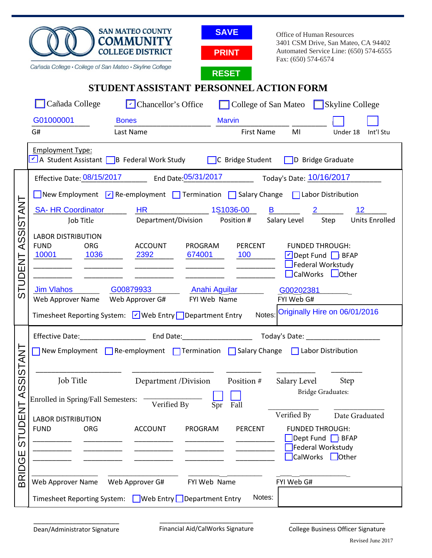| <b>SAN MATEO COUNTY</b><br><b>SAVE</b><br>Office of Human Resources<br><b>COMMUNITY</b><br>3401 CSM Drive, San Mateo, CA 94402<br><b>COLLEGE DISTRICT</b><br>Automated Service Line: (650) 574-6555<br><b>PRINT</b>                                                                                                                                                                                                                                                                                                                                                                                                                                                                                                                                       |                       |
|-----------------------------------------------------------------------------------------------------------------------------------------------------------------------------------------------------------------------------------------------------------------------------------------------------------------------------------------------------------------------------------------------------------------------------------------------------------------------------------------------------------------------------------------------------------------------------------------------------------------------------------------------------------------------------------------------------------------------------------------------------------|-----------------------|
| Fax: (650) 574-6574<br>Cañada College · College of San Mateo · Skyline College<br><b>RESET</b>                                                                                                                                                                                                                                                                                                                                                                                                                                                                                                                                                                                                                                                            |                       |
| STUDENT ASSISTANT PERSONNEL ACTION FORM                                                                                                                                                                                                                                                                                                                                                                                                                                                                                                                                                                                                                                                                                                                   |                       |
| Cañada College<br>$\triangleright$ Chancellor's Office<br>College of San Mateo Skyline College                                                                                                                                                                                                                                                                                                                                                                                                                                                                                                                                                                                                                                                            |                       |
| G01000001<br><b>Marvin</b><br><b>Bones</b>                                                                                                                                                                                                                                                                                                                                                                                                                                                                                                                                                                                                                                                                                                                |                       |
| G#<br>MI<br>Last Name<br>First Name                                                                                                                                                                                                                                                                                                                                                                                                                                                                                                                                                                                                                                                                                                                       | Int'l Stu<br>Under 18 |
| <b>Employment Type:</b><br>A Student Assistant B Federal Work Study C Bridge Student D Bridge Graduate                                                                                                                                                                                                                                                                                                                                                                                                                                                                                                                                                                                                                                                    |                       |
| Effective Date: 08/15/2017 End Date: 05/31/2017 Today's Date: 10/16/2017                                                                                                                                                                                                                                                                                                                                                                                                                                                                                                                                                                                                                                                                                  |                       |
| New Employment $\boxed{\check{\phantom{a}}}$ Re-employment $\boxed{\phantom{a}}$ Termination $\boxed{\phantom{a}}$ Salary Change $\boxed{\phantom{a}}$ Labor Distribution                                                                                                                                                                                                                                                                                                                                                                                                                                                                                                                                                                                 |                       |
| SA-HR Coordinator HR 1S1036-00<br><b>B B B</b>                                                                                                                                                                                                                                                                                                                                                                                                                                                                                                                                                                                                                                                                                                            | 12                    |
| Department/Division Position # Salary Level Step<br>Job Title                                                                                                                                                                                                                                                                                                                                                                                                                                                                                                                                                                                                                                                                                             | <b>Units Enrolled</b> |
| ASSISTANT<br><b>LABOR DISTRIBUTION</b><br><b>FUND</b><br><b>PERCENT</b><br><b>ORG</b><br><b>ACCOUNT</b><br>PROGRAM<br><b>FUNDED THROUGH:</b>                                                                                                                                                                                                                                                                                                                                                                                                                                                                                                                                                                                                              |                       |
| 674001<br>100<br>10001<br>1036<br>2392<br>Dept Fund BFAP                                                                                                                                                                                                                                                                                                                                                                                                                                                                                                                                                                                                                                                                                                  |                       |
| $\Box$ Federal Workstudy<br>$\begin{tabular}{ccccc} \multicolumn{2}{c }{\textbf{1} & \textbf{2} & \textbf{3} & \textbf{4} & \textbf{5} & \textbf{5} & \textbf{6} & \textbf{7} & \textbf{8} & \textbf{9} & \textbf{10} & \textbf{10} & \textbf{10} & \textbf{10} & \textbf{10} & \textbf{10} & \textbf{10} & \textbf{10} & \textbf{10} & \textbf{10} & \textbf{10} & \textbf{10} & \textbf{10} & \textbf{10} & \textbf{10} & \textbf{10} & \textbf$<br>$\mathcal{L} = \{1,2,3,4,5\}$ . The set of the set of the set of the set of the set of the set of the set of the set of the set of the set of the set of the set of the set of the set of the set of the set of the set of the set o<br><b>Contract Contract Contract</b><br>CalWorks <b>Lother</b> |                       |
| STUDENT<br>G00879933<br><b>Jim Vlahos</b><br><b>Anahi Aguilar</b><br>G00202381                                                                                                                                                                                                                                                                                                                                                                                                                                                                                                                                                                                                                                                                            |                       |
| Web Approver Name Web Approver G#<br>FYI Web Name<br>FYI Web G#                                                                                                                                                                                                                                                                                                                                                                                                                                                                                                                                                                                                                                                                                           |                       |
| Originally Hire on 06/01/2016<br>Notes:<br>Timesheet Reporting System: <del>V</del> Web Entry Department Entry                                                                                                                                                                                                                                                                                                                                                                                                                                                                                                                                                                                                                                            |                       |
| Today's Date: ____________________                                                                                                                                                                                                                                                                                                                                                                                                                                                                                                                                                                                                                                                                                                                        |                       |
| New Employment   Re-employment   Termination   Salary Change<br>Labor Distribution<br>П                                                                                                                                                                                                                                                                                                                                                                                                                                                                                                                                                                                                                                                                   |                       |
| ASSISTANT                                                                                                                                                                                                                                                                                                                                                                                                                                                                                                                                                                                                                                                                                                                                                 |                       |
| Job Title<br>Department /Division<br>Position #<br>Salary Level                                                                                                                                                                                                                                                                                                                                                                                                                                                                                                                                                                                                                                                                                           | Step                  |
| <b>Bridge Graduates:</b><br>Enrolled in Spring/Fall Semesters:<br>Verified By<br>Fall                                                                                                                                                                                                                                                                                                                                                                                                                                                                                                                                                                                                                                                                     |                       |
| <b>STUDENT</b><br>Spr<br>Verified By<br><b>LABOR DISTRIBUTION</b>                                                                                                                                                                                                                                                                                                                                                                                                                                                                                                                                                                                                                                                                                         | Date Graduated        |
| <b>FUND</b><br><b>PERCENT</b><br><b>FUNDED THROUGH:</b><br>ORG<br><b>ACCOUNT</b><br>PROGRAM                                                                                                                                                                                                                                                                                                                                                                                                                                                                                                                                                                                                                                                               |                       |
| Dept Fund F BFAP<br>Federal Workstudy                                                                                                                                                                                                                                                                                                                                                                                                                                                                                                                                                                                                                                                                                                                     |                       |
| <b>BRIDGE</b><br>CalWorks                                                                                                                                                                                                                                                                                                                                                                                                                                                                                                                                                                                                                                                                                                                                 | $\Box$ Other          |
| Web Approver Name<br>Web Approver G#<br>FYI Web G#                                                                                                                                                                                                                                                                                                                                                                                                                                                                                                                                                                                                                                                                                                        |                       |
| FYI Web Name                                                                                                                                                                                                                                                                                                                                                                                                                                                                                                                                                                                                                                                                                                                                              |                       |